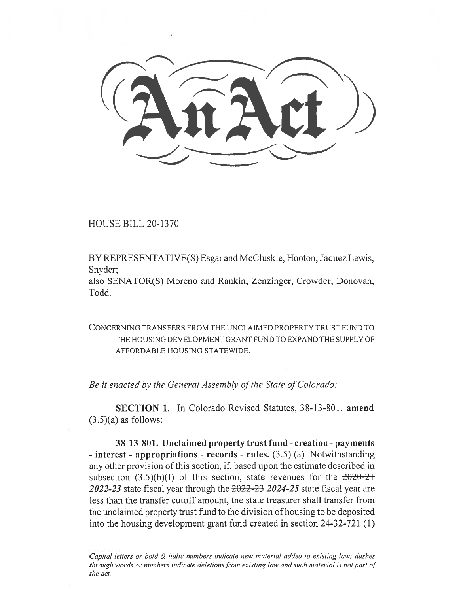HOUSE BILL 20-1370

BY REPRESENTATIVE(S) Esgar and McCluskie, Hooton, Jaquez Lewis, Snyder;

also SENATOR(S) Moreno and Rankin, Zenzinger, Crowder, Donovan, Todd.

CONCERNING TRANSFERS FROM THE UNCLAIMED PROPERTY TRUST FUND TO THE HOUSING DEVELOPMENT GRANT FUND TO EXPAND THE SUPPLY OF AFFORDABLE HOUSING STATEWIDE.

*Be it enacted by the General Assembly of the State of Colorado:* 

**SECTION 1.** In Colorado Revised Statutes, 38-13-801, **amend**   $(3.5)(a)$  as follows:

**38-13-801. Unclaimed property trust fund - creation - payments - interest - appropriations - records - rules.** (3.5) (a) Notwithstanding any other provision of this section, if, based upon the estimate described in subsection  $(3.5)(b)(I)$  of this section, state revenues for the  $2020-21$ *2022-23* state fiscal year through the 2022-23 *2024-25* state fiscal year are less than the transfer cutoff amount, the state treasurer shall transfer from the unclaimed property trust fund to the division of housing to be deposited into the housing development grant fund created in section 24-32-721 (1)

*Capital letters or bold & italic numbers indicate new material added to existing law; dashes through words or numbers indicate deletions from existing law and such material is not part of the act.*